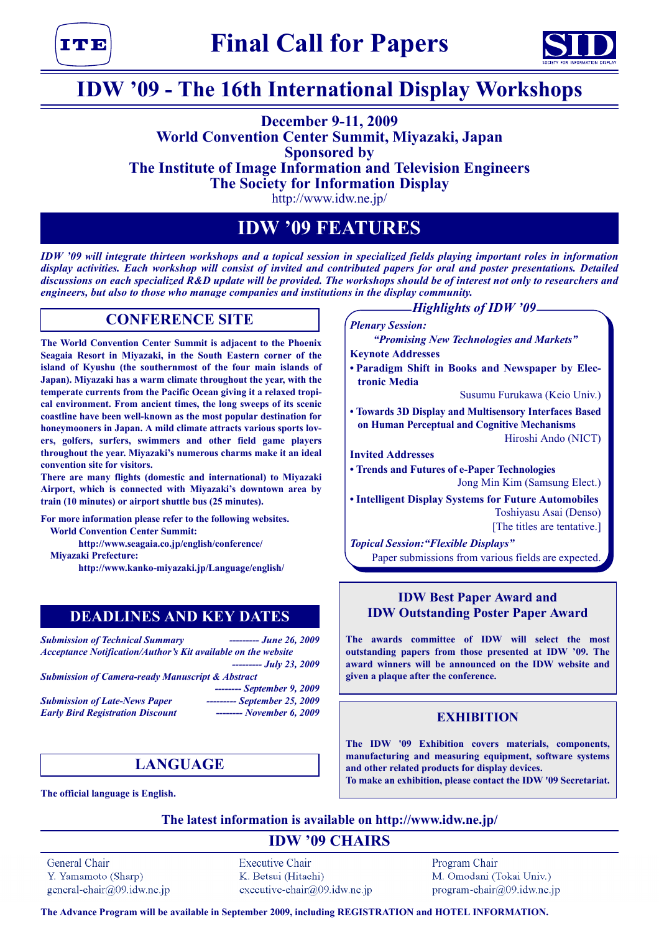



## **IDW '09 - The 16th International Display Workshops**

## **December 9-11, 2009 World Convention Center Summit, Miyazaki, Japan Sponsored by The Institute of Image Information and Television Engineers The Society for Information Display**

http://www.idw.ne.jp/

## **IDW '09 FEATURES**

*IDW '09 will integrate thirteen workshops and a topical session in specialized fields playing important roles in information display activities. Each workshop will consist of invited and contributed papers for oral and poster presentations. Detailed discussions on each specialized R&D update will be provided. The workshops should be of interest not only to researchers and engineers, but also to those who manage companies and institutions in the display community.*

## **CONFERENCE SITE**

**The World Convention Center Summit is adjacent to the Phoenix Seagaia Resort in Miyazaki, in the South Eastern corner of the island of Kyushu (the southernmost of the four main islands of Japan). Miyazaki has a warm climate throughout the year, with the temperate currents from the Pacific Ocean giving it a relaxed tropical environment. From ancient times, the long sweeps of its scenic coastline have been well-known as the most popular destination for honeymooners in Japan. A mild climate attracts various sports lovers, golfers, surfers, swimmers and other field game players throughout the year. Miyazaki's numerous charms make it an ideal convention site for visitors.**

**There are many flights (domestic and international) to Miyazaki Airport, which is connected with Miyazaki's downtown area by train (10 minutes) or airport shuttle bus (25 minutes).** 

**For more information please refer to the following websites. World Convention Center Summit:** 

**http://www.seagaia.co.jp/english/conference/**

**Miyazaki Prefecture:** 

**http://www.kanko-miyazaki.jp/Language/english/**

## **DEADLINES AND KEY DATES**

*Submission of Technical Summary --------- June 26, 2009 Acceptance Notification/Author's Kit available on the website --------- July 23, 2009*

*Submission of Camera-ready Manuscript & Abstract*

*Submission of Late-News Paper --------- September 25, 2009*

*-------- September 9, 2009 Early Bird Registration Discount -------- November 6, 2009*

## **LANGUAGE**

**The official language is English.**

## *Highlights of IDW '09*

*Plenary Session:* 

*"Promising New Technologies and Markets"*

**Keynote Addresses**

**• Paradigm Shift in Books and Newspaper by Electronic Media**

Susumu Furukawa (Keio Univ.)

**• Towards 3D Display and Multisensory Interfaces Based on Human Perceptual and Cognitive Mechanisms**

Hiroshi Ando (NICT)

**Invited Addresses**

- **• Trends and Futures of e-Paper Technologies** Jong Min Kim (Samsung Elect.)
- **Intelligent Display Systems for Future Automobiles** Toshiyasu Asai (Denso) [The titles are tentative.]

*Topical Session:"Flexible Displays"* Paper submissions from various fields are expected.

## **IDW Best Paper Award and IDW Outstanding Poster Paper Award**

**The awards committee of IDW will select the most outstanding papers from those presented at IDW '09. The award winners will be announced on the IDW website and given a plaque after the conference.**

## **EXHIBITION**

**The IDW '09 Exhibition covers materials, components, manufacturing and measuring equipment, software systems and other related products for display devices. To make an exhibition, please contact the IDW '09 Secretariat.**

**The latest information is available on http://www.idw.ne.jp/**

## **IDW '09 CHAIRS**

General Chair Y. Yamamoto (Sharp) general-chair@09.idw.ne.jp **Executive Chair** K. Betsui (Hitachi) executive-chair@09.idw.ne.jp Program Chair M. Omodani (Tokai Univ.) program-chair@09.idw.ne.jp

**The Advance Program will be available in September 2009, including REGISTRATION and HOTEL INFORMATION.**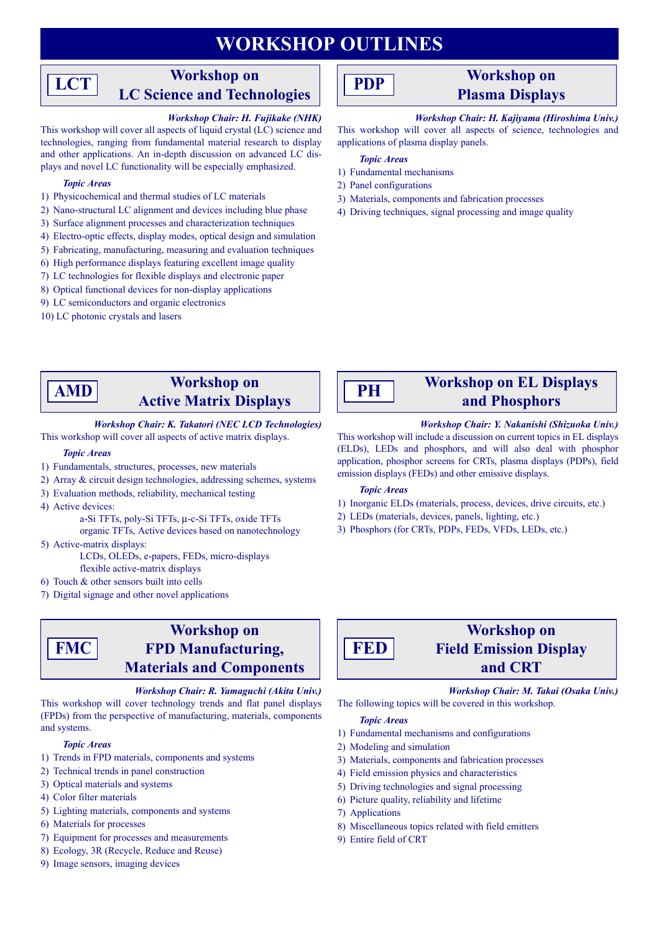## **WORKSHOP OUTLINES**

## **Workshop on LC Science and Technologies**

## *Workshop Chair: H. Fujikake (NHK)*

This workshop will cover all aspects of liquid crystal (LC) science and technologies, ranging from fundamental material research to display and other applications. An in-depth discussion on advanced LC displays and novel LC functionality will be especially emphasized.

#### *Topic Areas*

**LCT**

- 1) Physicochemical and thermal studies of LC materials
- 2) Nano-structural LC alignment and devices including blue phase
- 3) Surface alignment processes and characterization techniques
- 4) Electro-optic effects, display modes, optical design and simulation
- 5) Fabricating, manufacturing, measuring and evaluation techniques
- 6) High performance displays featuring excellent image quality
- 7) LC technologies for flexible displays and electronic paper
- 8) Optical functional devices for non-display applications
- 9) LC semiconductors and organic electronics
- 10) LC photonic crystals and lasers

## **PDP**

## **Workshop on Plasma Displays**

## *Workshop Chair: H. Kajiyama (Hiroshima Univ.)*

This workshop will cover all aspects of science, technologies and applications of plasma display panels.

#### *Topic Areas*

- 1) Fundamental mechanisms
- 2) Panel configurations
- 3) Materials, components and fabrication processes
- 4) Driving techniques, signal processing and image quality

#### **Workshop on Active Matrix Displays AMD**

#### *Workshop Chair: K. Takatori (NEC LCD Technologies)* This workshop will cover all aspects of active matrix displays.

#### *Topic Areas*

- 1) Fundamentals, structures, processes, new materials
- 2) Array & circuit design technologies, addressing schemes, systems
- 3) Evaluation methods, reliability, mechanical testing
- 4) Active devices:

**FMC**

a-Si TFTs, poly-Si TFTs, µ-c-Si TFTs, oxide TFTs

organic TFTs, Active devices based on nanotechnology 5) Active-matrix displays:

- LCDs, OLEDs, e-papers, FEDs, micro-displays flexible active-matrix displays
- 6) Touch & other sensors built into cells
- 7) Digital signage and other novel applications

## **Workshop on FPD Manufacturing, Materials and Components**

#### *Workshop Chair: R. Yamaguchi (Akita Univ.)*

This workshop will cover technology trends and flat panel displays (FPDs) from the perspective of manufacturing, materials, components and systems.

#### *Topic Areas*

- 1) Trends in FPD materials, components and systems
- 2) Technical trends in panel construction
- 3) Optical materials and systems
- 4) Color filter materials
- 5) Lighting materials, components and systems
- 6) Materials for processes
- 7) Equipment for processes and measurements
- 8) Ecology, 3R (Recycle, Reduce and Reuse)
- 9) Image sensors, imaging devices

# **PH**

# **and Phosphors**

**Workshop on EL Displays** 

*Workshop Chair: Y. Nakanishi (Shizuoka Univ.)* This workshop will include a discussion on current topics in EL displays (ELDs), LEDs and phosphors, and will also deal with phosphor application, phosphor screens for CRTs, plasma displays (PDPs), field emission displays (FEDs) and other emissive displays.

#### *Topic Areas*

- 1) Inorganic ELDs (materials, process, devices, drive circuits, etc.)
- 2) LEDs (materials, devices, panels, lighting, etc.)
- 3) Phosphors (for CRTs, PDPs, FEDs, VFDs, LEDs, etc.)



## **Workshop on Field Emission Display and CRT**

## *Workshop Chair: M. Takai (Osaka Univ.)*

The following topics will be covered in this workshop.

## *Topic Areas*

- 1) Fundamental mechanisms and configurations
- 2) Modeling and simulation
- 3) Materials, components and fabrication processes
- 4) Field emission physics and characteristics
- 5) Driving technologies and signal processing
- 6) Picture quality, reliability and lifetime
- 7) Applications
- 8) Miscellaneous topics related with field emitters
- 9) Entire field of CRT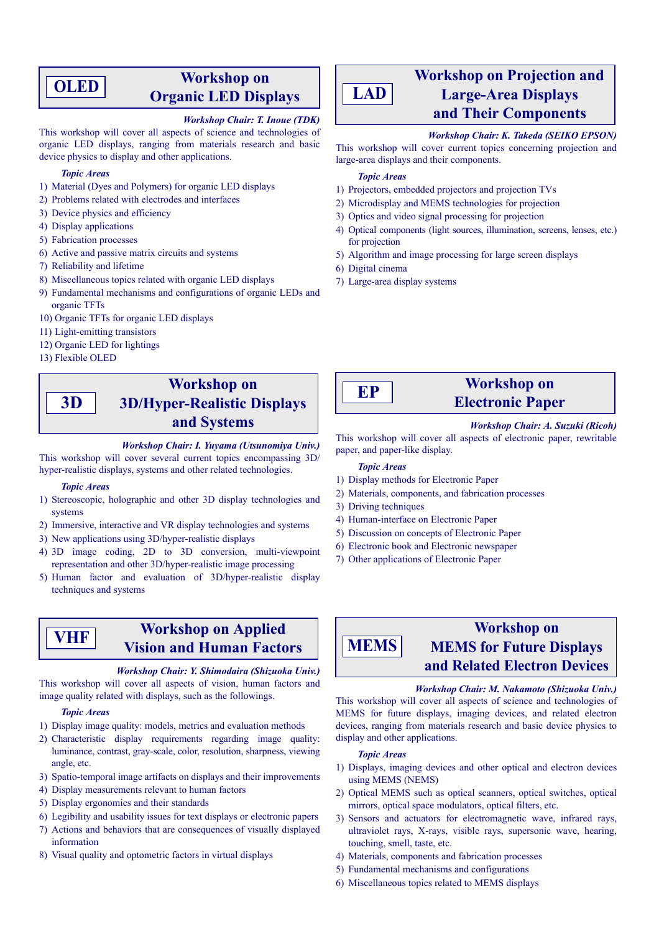## **OLED**

## **Workshop on Organic LED Displays**

## *Workshop Chair: T. Inoue (TDK)*

This workshop will cover all aspects of science and technologies of organic LED displays, ranging from materials research and basic device physics to display and other applications.

#### *Topic Areas*

- 1) Material (Dyes and Polymers) for organic LED displays
- 2) Problems related with electrodes and interfaces
- 3) Device physics and efficiency
- 4) Display applications
- 5) Fabrication processes
- 6) Active and passive matrix circuits and systems
- 7) Reliability and lifetime
- 8) Miscellaneous topics related with organic LED displays
- 9) Fundamental mechanisms and configurations of organic LEDs and organic TFTs
- 10) Organic TFTs for organic LED displays
- 11) Light-emitting transistors
- 12) Organic LED for lightings
- 13) Flexible OLED

**3D**

## **Workshop on 3D/Hyper-Realistic Displays and Systems**

#### *Workshop Chair: I. Yuyama (Utsunomiya Univ.)*

This workshop will cover several current topics encompassing 3D/ hyper-realistic displays, systems and other related technologies.

#### *Topic Areas*

- 1) Stereoscopic, holographic and other 3D display technologies and systems
- 2) Immersive, interactive and VR display technologies and systems
- 3) New applications using 3D/hyper-realistic displays
- 4) 3D image coding, 2D to 3D conversion, multi-viewpoint representation and other 3D/hyper-realistic image processing
- 5) Human factor and evaluation of 3D/hyper-realistic display techniques and systems

## **VHF**

## **Workshop on Applied Vision and Human Factors**

#### *Workshop Chair: Y. Shimodaira (Shizuoka Univ.)*

This workshop will cover all aspects of vision, human factors and image quality related with displays, such as the followings.

#### *Topic Areas*

- 1) Display image quality: models, metrics and evaluation methods
- 2) Characteristic display requirements regarding image quality: luminance, contrast, gray-scale, color, resolution, sharpness, viewing angle, etc.
- 3) Spatio-temporal image artifacts on displays and their improvements
- 4) Display measurements relevant to human factors
- 5) Display ergonomics and their standards
- 6) Legibility and usability issues for text displays or electronic papers
- 7) Actions and behaviors that are consequences of visually displayed information
- 8) Visual quality and optometric factors in virtual displays



## **Workshop on Projection and Large-Area Displays and Their Components**

## *Workshop Chair: K. Takeda (SEIKO EPSON)*

This workshop will cover current topics concerning projection and large-area displays and their components.

#### *Topic Areas*

- 1) Projectors, embedded projectors and projection TVs
- 2) Microdisplay and MEMS technologies for projection
- 3) Optics and video signal processing for projection
- 4) Optical components (light sources, illumination, screens, lenses, etc.) for projection
- 5) Algorithm and image processing for large screen displays
- 6) Digital cinema
- 7) Large-area display systems



## **Workshop on Electronic Paper**

*Workshop Chair: A. Suzuki (Ricoh)*

This workshop will cover all aspects of electronic paper, rewritable paper, and paper-like display.

## *Topic Areas*

- 1) Display methods for Electronic Paper
- 2) Materials, components, and fabrication processes
- 3) Driving techniques
- 4) Human-interface on Electronic Paper
- 5) Discussion on concepts of Electronic Paper
- 6) Electronic book and Electronic newspaper
- 7) Other applications of Electronic Paper

# **MEMS**

## **Workshop on MEMS for Future Displays and Related Electron Devices**

#### *Workshop Chair: M. Nakamoto (Shizuoka Univ.)*

This workshop will cover all aspects of science and technologies of MEMS for future displays, imaging devices, and related electron devices, ranging from materials research and basic device physics to display and other applications.

#### *Topic Areas*

- 1) Displays, imaging devices and other optical and electron devices using MEMS (NEMS)
- 2) Optical MEMS such as optical scanners, optical switches, optical mirrors, optical space modulators, optical filters, etc.
- 3) Sensors and actuators for electromagnetic wave, infrared rays, ultraviolet rays, X-rays, visible rays, supersonic wave, hearing, touching, smell, taste, etc.
- 4) Materials, components and fabrication processes
- 5) Fundamental mechanisms and configurations
- 6) Miscellaneous topics related to MEMS displays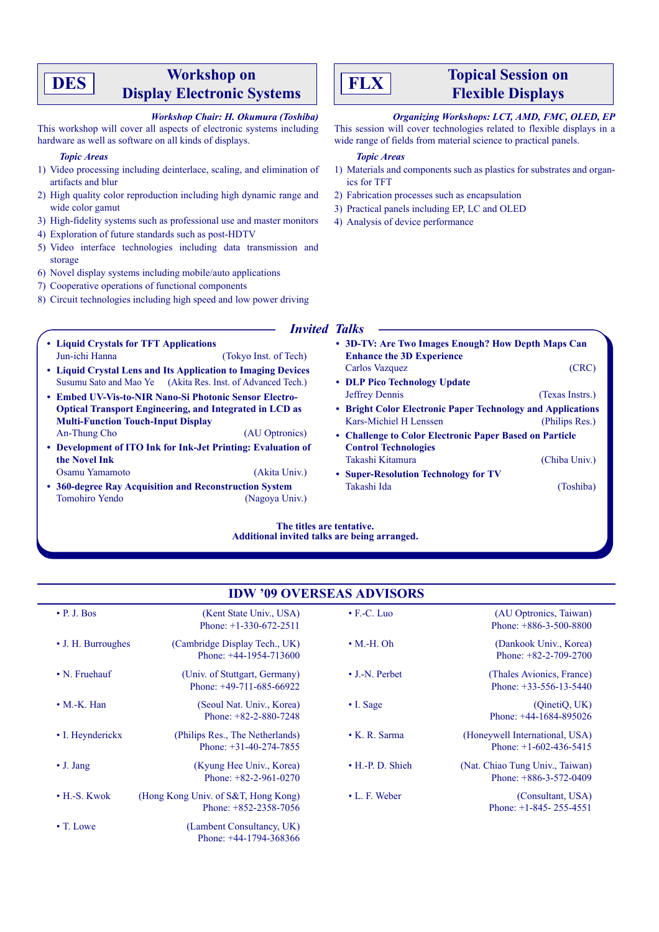## **Workshop on DES Display Electronic Systems Display Electronic Systems Planet ELEX Displays Planet Electronic Systems Planet Electronic Systems Planet Electronic Systems Planet Electronic Systems Planet Electronic Sy**

#### *Workshop Chair: H. Okumura (Toshiba)*

This workshop will cover all aspects of electronic systems including hardware as well as software on all kinds of displays.

#### *Topic Areas*

- 1) Video processing including deinterlace, scaling, and elimination of artifacts and blur
- 2) High quality color reproduction including high dynamic range and wide color gamut
- 3) High-fidelity systems such as professional use and master monitors
- 4) Exploration of future standards such as post-HDTV
- 5) Video interface technologies including data transmission and storage
- 6) Novel display systems including mobile/auto applications
- 7) Cooperative operations of functional components
- 8) Circuit technologies including high speed and low power driving
	-
	- **Liquid Crystals for TFT Applications** Jun-ichi Hanna (Tokyo Inst. of Tech) **• Liquid Crystal Lens and Its Application to Imaging Devices** Susumu Sato and Mao Ye (Akita Res. Inst. of Advanced Tech.) **• Embed UV-Vis-to-NIR Nano-Si Photonic Sensor Electro-Optical Transport Engineering, and Integrated in LCD as Multi-Function Touch-Input Display** An-Thung Cho (AU Optronics) **• Development of ITO Ink for Ink-Jet Printing: Evaluation of the Novel Ink** Osamu Yamamoto (Akita Univ.) **• 360-degree Ray Acquisition and Reconstruction System** Tomohiro Yendo (Nagoya Univ.) **• 3D-TV: Are Two Images Enough? How Depth Maps Can Enhance the 3D Experience** Carlos Vazquez (CRC) **• DLP Pico Technology Update** Jeffrey Dennis (Texas Instrs.) **• Bright Color Electronic Paper Technology and Applications** Kars-Michiel H Lenssen (Philips Res.) **• Challenge to Color Electronic Paper Based on Particle Control Technologies** Takashi Kitamura (Chiba Univ.) **• Super-Resolution Technology for TV** Takashi Ida (Toshiba)

**The titles are tentative. Additional invited talks are being arranged.**

## **IDW '09 OVERSEAS ADVISORS**

| $\cdot$ P. J. Bos    | (Kent State Univ., USA)<br>Phone: $+1-330-672-2511$            | $\bullet$ F.-C. Luo    | (AU Optronics, Taiwan)<br>Phone: $+886-3-500-8800$          |
|----------------------|----------------------------------------------------------------|------------------------|-------------------------------------------------------------|
| • J. H. Burroughes   | (Cambridge Display Tech., UK)<br>Phone: $+44-1954-713600$      | $\bullet$ M.-H. Oh     | (Dankook Univ., Korea)<br>Phone: $+82-2-709-2700$           |
| • N. Fruehauf        | (Univ. of Stuttgart, Germany)<br>Phone: $+49-711-685-66922$    | $\bullet$ J.-N. Perbet | (Thales Avionics, France)<br>Phone: $+33-556-13-5440$       |
| $\bullet$ M.-K. Han  | (Seoul Nat. Univ., Korea)<br>Phone: $+82-2-880-7248$           | $\cdot$ I. Sage        | (QinetiQ, UK)<br>Phone: $+44-1684-895026$                   |
| • I. Heynderickx     | (Philips Res., The Netherlands)<br>Phone: $+31-40-274-7855$    | $\bullet$ K. R. Sarma  | (Honeywell International, USA)<br>Phone: $+1-602-436-5415$  |
| $\bullet$ J. Jang    | (Kyung Hee Univ., Korea)<br>Phone: $+82-2-961-0270$            | • H.-P. D. Shieh       | (Nat. Chiao Tung Univ., Taiwan)<br>Phone: $+886-3-572-0409$ |
| $\bullet$ H.-S. Kwok | (Hong Kong Univ. of S&T, Hong Kong)<br>Phone: $+852-2358-7056$ | $\bullet$ L. F. Weber  | (Consultant, USA)<br>Phone: $+1-845-255-4551$               |
| $\bullet$ T. Lowe    | (Lambent Consultancy, UK)<br>Phone: $+44-1794-368366$          |                        |                                                             |



# **Flexible Displays**

## *Organizing Workshops: LCT, AMD, FMC, OLED, EP*

This session will cover technologies related to flexible displays in a wide range of fields from material science to practical panels.

#### *Topic Areas*

- 1) Materials and components such as plastics for substrates and organics for TFT
- 2) Fabrication processes such as encapsulation
- 3) Practical panels including EP, LC and OLED
- 4) Analysis of device performance

## *Invited Talks*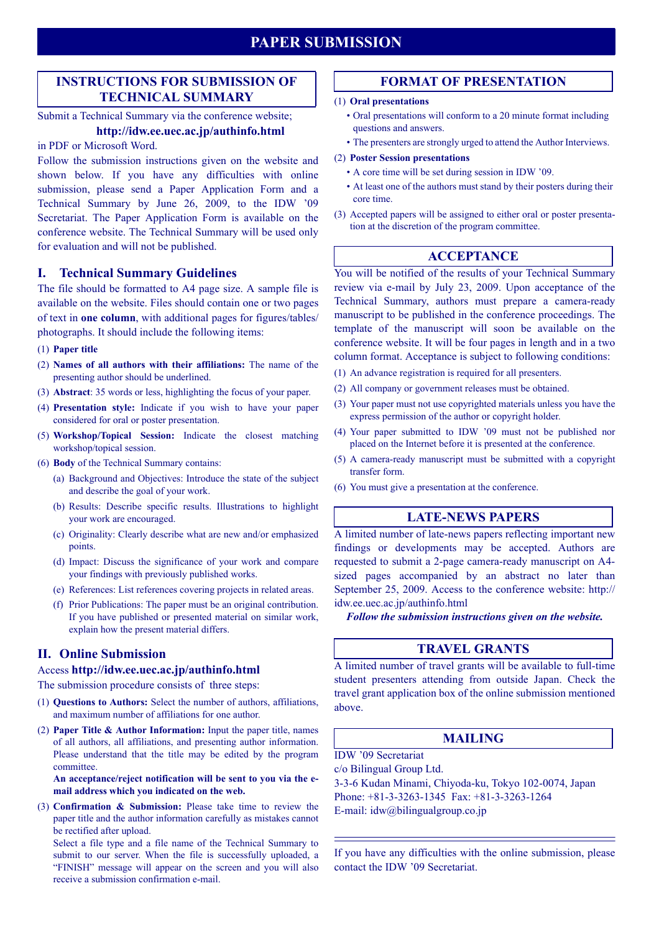## **PAPER SUBMISSION**

## **INSTRUCTIONS FOR SUBMISSION OF TECHNICAL SUMMARY**

## Submit a Technical Summary via the conference website;

## **http://idw.ee.uec.ac.jp/authinfo.html**

## in PDF or Microsoft Word.

Follow the submission instructions given on the website and shown below. If you have any difficulties with online submission, please send a Paper Application Form and a Technical Summary by June 26, 2009, to the IDW '09 Secretariat. The Paper Application Form is available on the conference website. The Technical Summary will be used only for evaluation and will not be published.

## **I. Technical Summary Guidelines**

The file should be formatted to A4 page size. A sample file is available on the website. Files should contain one or two pages of text in **one column**, with additional pages for figures/tables/ photographs. It should include the following items:

#### (1) **Paper title**

- (2) **Names of all authors with their affiliations:** The name of the presenting author should be underlined.
- (3) **Abstract**: 35 words or less, highlighting the focus of your paper.
- (4) **Presentation style:** Indicate if you wish to have your paper considered for oral or poster presentation.
- (5) **Workshop/Topical Session:** Indicate the closest matching workshop/topical session.
- (6) **Body** of the Technical Summary contains:
	- (a) Background and Objectives: Introduce the state of the subject and describe the goal of your work.
	- (b) Results: Describe specific results. Illustrations to highlight your work are encouraged.
	- (c) Originality: Clearly describe what are new and/or emphasized points.
	- (d) Impact: Discuss the significance of your work and compare your findings with previously published works.
	- (e) References: List references covering projects in related areas.
	- (f) Prior Publications: The paper must be an original contribution. If you have published or presented material on similar work, explain how the present material differs.

## **II. Online Submission**

#### Access **http://idw.ee.uec.ac.jp/authinfo.html**

The submission procedure consists of three steps:

- (1) **Questions to Authors:** Select the number of authors, affiliations, and maximum number of affiliations for one author.
- (2) **Paper Title & Author Information:** Input the paper title, names of all authors, all affiliations, and presenting author information. Please understand that the title may be edited by the program committee.

**An acceptance/reject notification will be sent to you via the email address which you indicated on the web.**

(3) **Confirmation & Submission:** Please take time to review the paper title and the author information carefully as mistakes cannot be rectified after upload.

Select a file type and a file name of the Technical Summary to submit to our server. When the file is successfully uploaded, a "FINISH" message will appear on the screen and you will also receive a submission confirmation e-mail.

## **FORMAT OF PRESENTATION**

#### (1) **Oral presentations**

- Oral presentations will conform to a 20 minute format including questions and answers.
- The presenters are strongly urged to attend the Author Interviews.

#### (2) **Poster Session presentations**

- A core time will be set during session in IDW '09.
- At least one of the authors must stand by their posters during their core time.
- (3) Accepted papers will be assigned to either oral or poster presentation at the discretion of the program committee.

#### **ACCEPTANCE**

You will be notified of the results of your Technical Summary review via e-mail by July 23, 2009. Upon acceptance of the Technical Summary, authors must prepare a camera-ready manuscript to be published in the conference proceedings. The template of the manuscript will soon be available on the conference website. It will be four pages in length and in a two column format. Acceptance is subject to following conditions:

- (1) An advance registration is required for all presenters.
- (2) All company or government releases must be obtained.
- (3) Your paper must not use copyrighted materials unless you have the express permission of the author or copyright holder.
- (4) Your paper submitted to IDW '09 must not be published nor placed on the Internet before it is presented at the conference.
- (5) A camera-ready manuscript must be submitted with a copyright transfer form.
- (6) You must give a presentation at the conference.

## **LATE-NEWS PAPERS**

A limited number of late-news papers reflecting important new findings or developments may be accepted. Authors are requested to submit a 2-page camera-ready manuscript on A4 sized pages accompanied by an abstract no later than September 25, 2009. Access to the conference website: http:// idw.ee.uec.ac.jp/authinfo.html

*Follow the submission instructions given on the website.*

## **TRAVEL GRANTS**

A limited number of travel grants will be available to full-time student presenters attending from outside Japan. Check the travel grant application box of the online submission mentioned above.

## **MAILING**

IDW '09 Secretariat

c/o Bilingual Group Ltd.

3-3-6 Kudan Minami, Chiyoda-ku, Tokyo 102-0074, Japan Phone: +81-3-3263-1345 Fax: +81-3-3263-1264 E-mail: idw@bilingualgroup.co.jp

If you have any difficulties with the online submission, please contact the IDW '09 Secretariat.